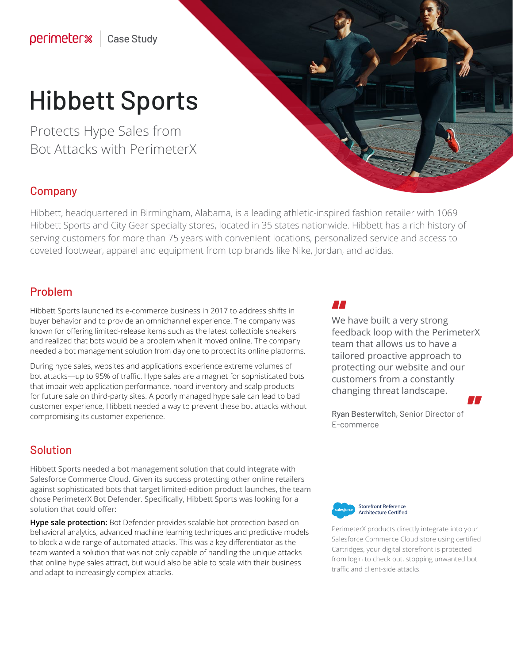# Hibbett Sports

Protects Hype Sales from Bot Attacks with PerimeterX

### Company

Hibbett, headquartered in Birmingham, Alabama, is a leading athletic-inspired fashion retailer with 1069 Hibbett Sports and City Gear specialty stores, located in 35 states nationwide. Hibbett has a rich history of serving customers for more than 75 years with convenient locations, personalized service and access to coveted footwear, apparel and equipment from top brands like Nike, Jordan, and adidas.

### Problem

Hibbett Sports launched its e-commerce business in 2017 to address shifts in buyer behavior and to provide an omnichannel experience. The company was known for offering limited-release items such as the latest collectible sneakers and realized that bots would be a problem when it moved online. The company needed a bot management solution from day one to protect its online platforms.

During hype sales, websites and applications experience extreme volumes of bot attacks—up to 95% of traffic. Hype sales are a magnet for sophisticated bots that impair web application performance, hoard inventory and scalp products for future sale on third-party sites. A poorly managed hype sale can lead to bad customer experience, Hibbett needed a way to prevent these bot attacks without compromising its customer experience.

### Solution

Hibbett Sports needed a bot management solution that could integrate with Salesforce Commerce Cloud. Given its success protecting other online retailers against sophisticated bots that target limited-edition product launches, the team chose PerimeterX Bot Defender. Specifically, Hibbett Sports was looking for a solution that could offer:

**Hype sale protection:** Bot Defender provides scalable bot protection based on behavioral analytics, advanced machine learning techniques and predictive models to block a wide range of automated attacks. This was a key differentiator as the team wanted a solution that was not only capable of handling the unique attacks that online hype sales attract, but would also be able to scale with their business and adapt to increasingly complex attacks.

RE

**AA**<br>We have built a very strong<br>Sandwith a strong " feedback loop with the PerimeterX team that allows us to have a tailored proactive approach to protecting our website and our customers from a constantly changing threat landscape.

Ryan Besterwitch, Senior Director of E-commerce



PerimeterX products directly integrate into your Salesforce Commerce Cloud store using certified Cartridges, your digital storefront is protected from login to check out, stopping unwanted bot traffic and client-side attacks.